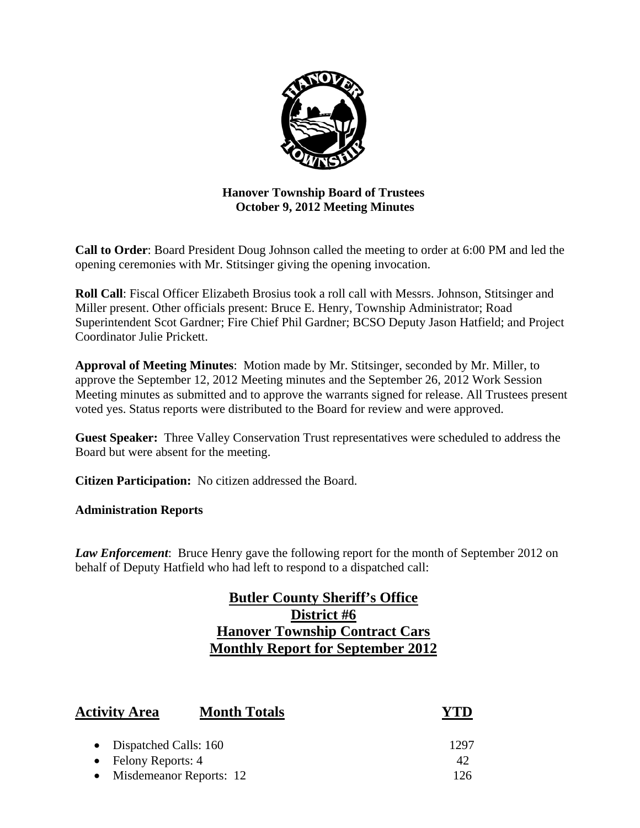

# **Hanover Township Board of Trustees October 9, 2012 Meeting Minutes**

**Call to Order**: Board President Doug Johnson called the meeting to order at 6:00 PM and led the opening ceremonies with Mr. Stitsinger giving the opening invocation.

**Roll Call**: Fiscal Officer Elizabeth Brosius took a roll call with Messrs. Johnson, Stitsinger and Miller present. Other officials present: Bruce E. Henry, Township Administrator; Road Superintendent Scot Gardner; Fire Chief Phil Gardner; BCSO Deputy Jason Hatfield; and Project Coordinator Julie Prickett.

**Approval of Meeting Minutes**: Motion made by Mr. Stitsinger, seconded by Mr. Miller, to approve the September 12, 2012 Meeting minutes and the September 26, 2012 Work Session Meeting minutes as submitted and to approve the warrants signed for release. All Trustees present voted yes. Status reports were distributed to the Board for review and were approved.

**Guest Speaker:** Three Valley Conservation Trust representatives were scheduled to address the Board but were absent for the meeting.

**Citizen Participation:** No citizen addressed the Board.

**Administration Reports** 

*Law Enforcement*: Bruce Henry gave the following report for the month of September 2012 on behalf of Deputy Hatfield who had left to respond to a dispatched call:

# **Butler County Sheriff's Office District #6 Hanover Township Contract Cars Monthly Report for September 2012**

| <b>Activity Area</b>    | <b>Month Totals</b>     | YTD  |
|-------------------------|-------------------------|------|
| • Dispatched Calls: 160 |                         | 1297 |
| • Felony Reports: $4$   |                         | 42   |
|                         | Misdemeanor Reports: 12 |      |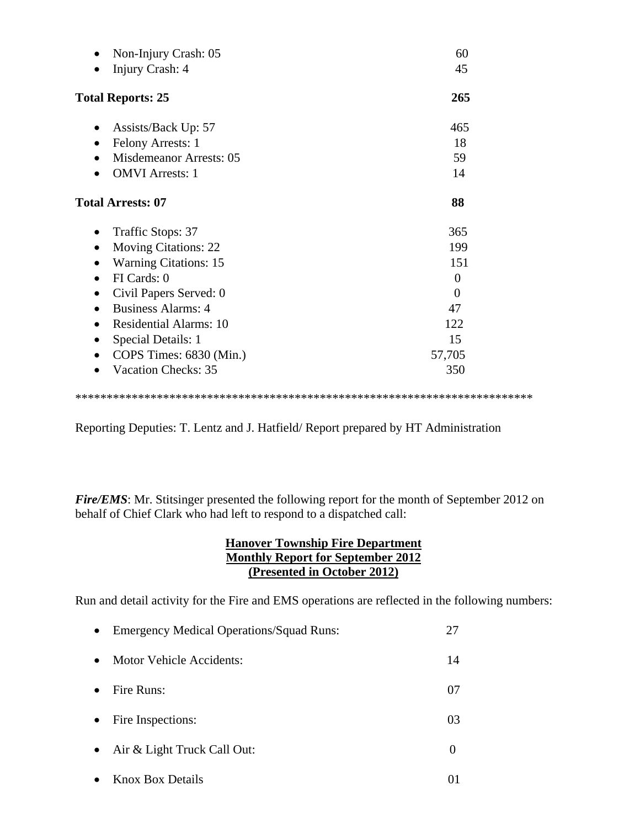| Non-Injury Crash: 05                        | 60       |
|---------------------------------------------|----------|
| Injury Crash: 4                             | 45       |
| <b>Total Reports: 25</b>                    | 265      |
| Assists/Back Up: 57<br>$\bullet$            | 465      |
| Felony Arrests: 1<br>$\bullet$              | 18       |
| <b>Misdemeanor Arrests: 05</b><br>$\bullet$ | 59       |
| <b>OMVI</b> Arrests: 1                      | 14       |
| <b>Total Arrests: 07</b>                    | 88       |
| Traffic Stops: 37<br>٠                      | 365      |
| <b>Moving Citations: 22</b>                 | 199      |
| <b>Warning Citations: 15</b><br>$\bullet$   | 151      |
| FI Cards: 0<br>$\bullet$                    | $\theta$ |
| Civil Papers Served: 0                      | $\Omega$ |
| <b>Business Alarms: 4</b><br>$\bullet$      | 47       |
| <b>Residential Alarms: 10</b><br>$\bullet$  | 122      |
| Special Details: 1                          | 15       |
| COPS Times: 6830 (Min.)                     | 57,705   |
| <b>Vacation Checks: 35</b>                  | 350      |
|                                             |          |

Reporting Deputies: T. Lentz and J. Hatfield/ Report prepared by HT Administration

*Fire/EMS*: Mr. Stitsinger presented the following report for the month of September 2012 on behalf of Chief Clark who had left to respond to a dispatched call:

# **Hanover Township Fire Department Monthly Report for September 2012 (Presented in October 2012)**

Run and detail activity for the Fire and EMS operations are reflected in the following numbers:

| $\bullet$ | <b>Emergency Medical Operations/Squad Runs:</b> | 27       |
|-----------|-------------------------------------------------|----------|
| $\bullet$ | Motor Vehicle Accidents:                        | 14       |
| $\bullet$ | Fire Runs:                                      | 07       |
| $\bullet$ | Fire Inspections:                               | 03       |
| $\bullet$ | Air & Light Truck Call Out:                     | $\theta$ |
| $\bullet$ | <b>Knox Box Details</b>                         |          |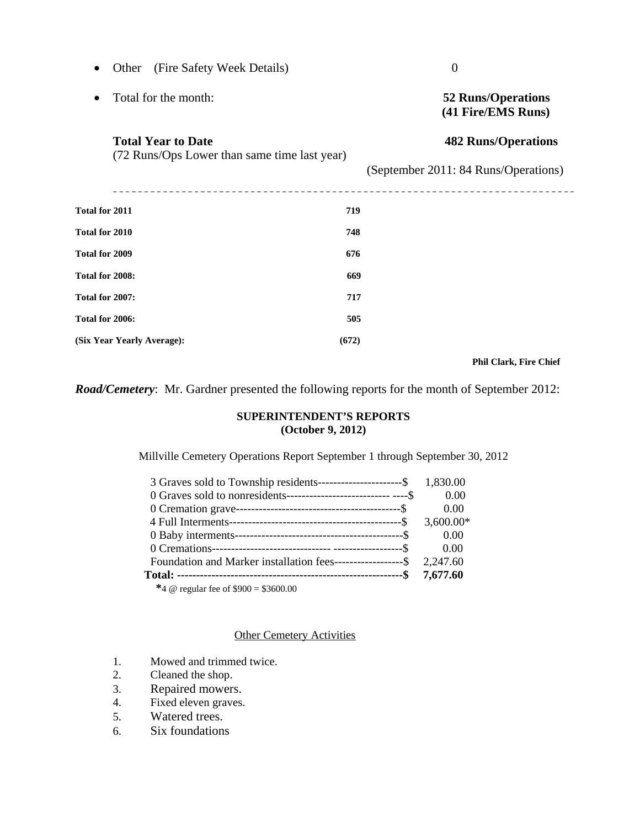|                                                                           | (Fire Safety Week Details)<br>Other |       | $\boldsymbol{0}$                                |
|---------------------------------------------------------------------------|-------------------------------------|-------|-------------------------------------------------|
| $\bullet$                                                                 | Total for the month:                |       | <b>52 Runs/Operations</b><br>(41 Fire/EMS Runs) |
| <b>Total Year to Date</b><br>(72 Runs/Ops Lower than same time last year) |                                     |       | <b>482 Runs/Operations</b>                      |
|                                                                           |                                     |       | (September 2011: 84 Runs/Operations)            |
| Total for 2011                                                            |                                     | 719   |                                                 |
| Total for 2010                                                            |                                     | 748   |                                                 |
| Total for 2009                                                            |                                     | 676   |                                                 |
| Total for 2008:                                                           |                                     | 669   |                                                 |
| Total for 2007:                                                           |                                     | 717   |                                                 |
| Total for 2006:                                                           |                                     | 505   |                                                 |
|                                                                           | (Six Year Yearly Average):          | (672) |                                                 |
|                                                                           |                                     |       |                                                 |

#### **Phil Clark, Fire Chief**

*Road/Cemetery*: Mr. Gardner presented the following reports for the month of September 2012:

#### **SUPERINTENDENT'S REPORTS (October 9, 2012)**

Millville Cemetery Operations Report September 1 through September 30, 2012

| 3 Graves sold to Township residents-----------------------\$ 1,830.00 |             |
|-----------------------------------------------------------------------|-------------|
|                                                                       | 0.00        |
|                                                                       | 0.00        |
|                                                                       | $3,600.00*$ |
|                                                                       | 0.00        |
|                                                                       | 0.00        |
| Foundation and Marker installation fees------------------\$ 2,247.60  |             |
|                                                                       | 7,677.60    |
| *4 @ regular fee of $$900 = $3600.00$                                 |             |

Other Cemetery Activities

- 1. Mowed and trimmed twice.
- 2. Cleaned the shop.
- 3. Repaired mowers.
- 4. Fixed eleven graves.
- 5. Watered trees.
- 6. Six foundations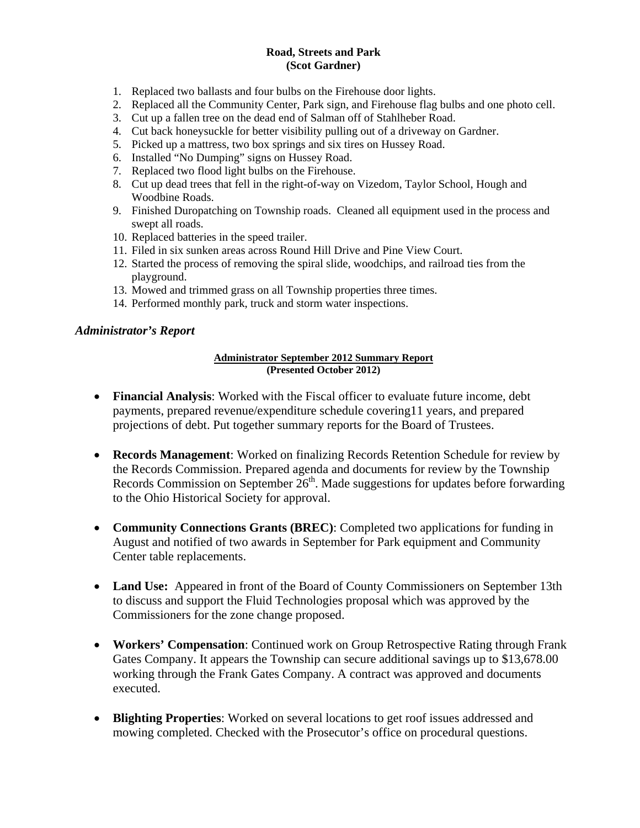#### **Road, Streets and Park (Scot Gardner)**

- 1. Replaced two ballasts and four bulbs on the Firehouse door lights.
- 2. Replaced all the Community Center, Park sign, and Firehouse flag bulbs and one photo cell.
- 3. Cut up a fallen tree on the dead end of Salman off of Stahlheber Road.
- 4. Cut back honeysuckle for better visibility pulling out of a driveway on Gardner.
- 5. Picked up a mattress, two box springs and six tires on Hussey Road.
- 6. Installed "No Dumping" signs on Hussey Road.
- 7. Replaced two flood light bulbs on the Firehouse.
- 8. Cut up dead trees that fell in the right-of-way on Vizedom, Taylor School, Hough and Woodbine Roads.
- 9. Finished Duropatching on Township roads. Cleaned all equipment used in the process and swept all roads.
- 10. Replaced batteries in the speed trailer.
- 11. Filed in six sunken areas across Round Hill Drive and Pine View Court.
- 12. Started the process of removing the spiral slide, woodchips, and railroad ties from the playground.
- 13. Mowed and trimmed grass on all Township properties three times.
- 14. Performed monthly park, truck and storm water inspections.

#### *Administrator's Report*

#### **Administrator September 2012 Summary Report (Presented October 2012)**

- **Financial Analysis**: Worked with the Fiscal officer to evaluate future income, debt payments, prepared revenue/expenditure schedule covering11 years, and prepared projections of debt. Put together summary reports for the Board of Trustees.
- **Records Management**: Worked on finalizing Records Retention Schedule for review by the Records Commission. Prepared agenda and documents for review by the Township Records Commission on September  $26<sup>th</sup>$ . Made suggestions for updates before forwarding to the Ohio Historical Society for approval.
- **Community Connections Grants (BREC)**: Completed two applications for funding in August and notified of two awards in September for Park equipment and Community Center table replacements.
- **Land Use:** Appeared in front of the Board of County Commissioners on September 13th to discuss and support the Fluid Technologies proposal which was approved by the Commissioners for the zone change proposed.
- **Workers' Compensation**: Continued work on Group Retrospective Rating through Frank Gates Company. It appears the Township can secure additional savings up to \$13,678.00 working through the Frank Gates Company. A contract was approved and documents executed.
- **Blighting Properties**: Worked on several locations to get roof issues addressed and mowing completed. Checked with the Prosecutor's office on procedural questions.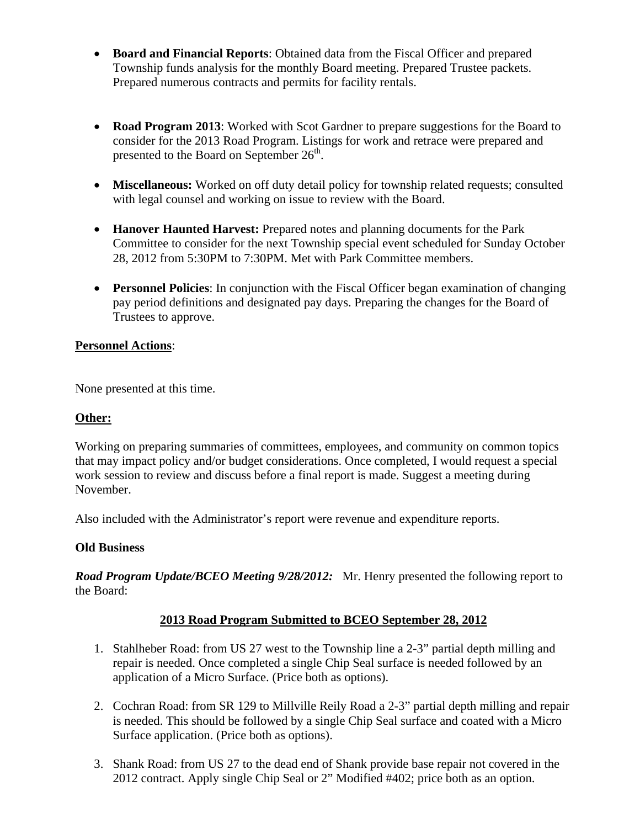- **Board and Financial Reports**: Obtained data from the Fiscal Officer and prepared Township funds analysis for the monthly Board meeting. Prepared Trustee packets. Prepared numerous contracts and permits for facility rentals.
- **Road Program 2013**: Worked with Scot Gardner to prepare suggestions for the Board to consider for the 2013 Road Program. Listings for work and retrace were prepared and presented to the Board on September  $26<sup>th</sup>$ .
- **Miscellaneous:** Worked on off duty detail policy for township related requests; consulted with legal counsel and working on issue to review with the Board.
- Hanover Haunted Harvest: Prepared notes and planning documents for the Park Committee to consider for the next Township special event scheduled for Sunday October 28, 2012 from 5:30PM to 7:30PM. Met with Park Committee members.
- **Personnel Policies**: In conjunction with the Fiscal Officer began examination of changing pay period definitions and designated pay days. Preparing the changes for the Board of Trustees to approve.

# **Personnel Actions**:

None presented at this time.

# **Other:**

Working on preparing summaries of committees, employees, and community on common topics that may impact policy and/or budget considerations. Once completed, I would request a special work session to review and discuss before a final report is made. Suggest a meeting during November.

Also included with the Administrator's report were revenue and expenditure reports.

# **Old Business**

*Road Program Update/BCEO Meeting 9/28/2012:* Mr. Henry presented the following report to the Board:

# **2013 Road Program Submitted to BCEO September 28, 2012**

- 1. Stahlheber Road: from US 27 west to the Township line a 2-3" partial depth milling and repair is needed. Once completed a single Chip Seal surface is needed followed by an application of a Micro Surface. (Price both as options).
- 2. Cochran Road: from SR 129 to Millville Reily Road a 2-3" partial depth milling and repair is needed. This should be followed by a single Chip Seal surface and coated with a Micro Surface application. (Price both as options).
- 3. Shank Road: from US 27 to the dead end of Shank provide base repair not covered in the 2012 contract. Apply single Chip Seal or 2" Modified #402; price both as an option.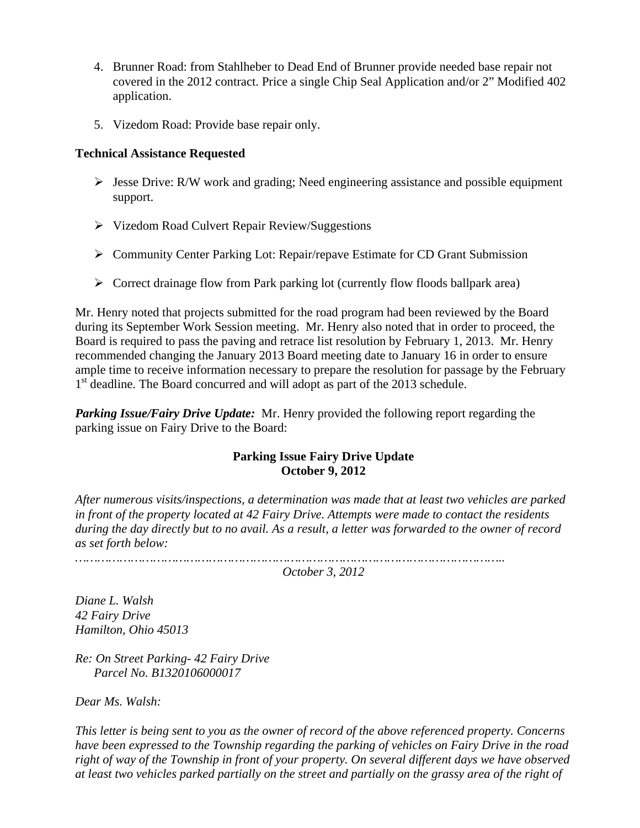- 4. Brunner Road: from Stahlheber to Dead End of Brunner provide needed base repair not covered in the 2012 contract. Price a single Chip Seal Application and/or 2" Modified 402 application.
- 5. Vizedom Road: Provide base repair only.

## **Technical Assistance Requested**

- $\triangleright$  Jesse Drive: R/W work and grading; Need engineering assistance and possible equipment support.
- Vizedom Road Culvert Repair Review/Suggestions
- Community Center Parking Lot: Repair/repave Estimate for CD Grant Submission
- $\triangleright$  Correct drainage flow from Park parking lot (currently flow floods ballpark area)

Mr. Henry noted that projects submitted for the road program had been reviewed by the Board during its September Work Session meeting. Mr. Henry also noted that in order to proceed, the Board is required to pass the paving and retrace list resolution by February 1, 2013. Mr. Henry recommended changing the January 2013 Board meeting date to January 16 in order to ensure ample time to receive information necessary to prepare the resolution for passage by the February 1<sup>st</sup> deadline. The Board concurred and will adopt as part of the 2013 schedule.

*Parking Issue/Fairy Drive Update:* Mr. Henry provided the following report regarding the parking issue on Fairy Drive to the Board:

# **Parking Issue Fairy Drive Update October 9, 2012**

*After numerous visits/inspections, a determination was made that at least two vehicles are parked in front of the property located at 42 Fairy Drive. Attempts were made to contact the residents during the day directly but to no avail. As a result, a letter was forwarded to the owner of record as set forth below:* 

*……………………………………………………………………………………………………..* 

*October 3, 2012* 

*Diane L. Walsh 42 Fairy Drive Hamilton, Ohio 45013* 

*Re: On Street Parking- 42 Fairy Drive Parcel No. B1320106000017* 

*Dear Ms. Walsh:* 

*This letter is being sent to you as the owner of record of the above referenced property. Concerns have been expressed to the Township regarding the parking of vehicles on Fairy Drive in the road right of way of the Township in front of your property. On several different days we have observed at least two vehicles parked partially on the street and partially on the grassy area of the right of*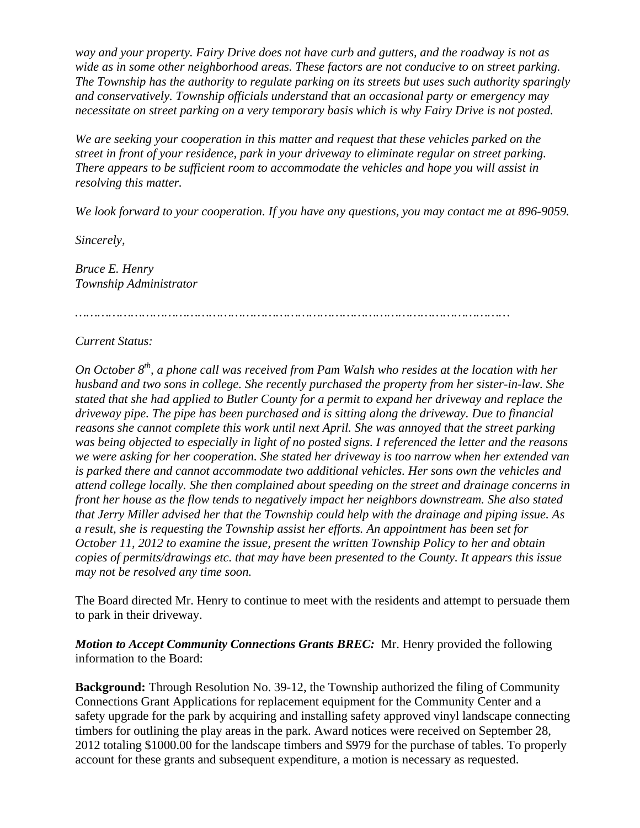*way and your property. Fairy Drive does not have curb and gutters, and the roadway is not as wide as in some other neighborhood areas. These factors are not conducive to on street parking. The Township has the authority to regulate parking on its streets but uses such authority sparingly and conservatively. Township officials understand that an occasional party or emergency may necessitate on street parking on a very temporary basis which is why Fairy Drive is not posted.* 

*We are seeking your cooperation in this matter and request that these vehicles parked on the street in front of your residence, park in your driveway to eliminate regular on street parking. There appears to be sufficient room to accommodate the vehicles and hope you will assist in resolving this matter.* 

*We look forward to your cooperation. If you have any questions, you may contact me at 896-9059.* 

*Sincerely,* 

*Bruce E. Henry Township Administrator* 

*………………………………………………………………………………………………………* 

#### *Current Status:*

*On October 8th, a phone call was received from Pam Walsh who resides at the location with her husband and two sons in college. She recently purchased the property from her sister-in-law. She stated that she had applied to Butler County for a permit to expand her driveway and replace the driveway pipe. The pipe has been purchased and is sitting along the driveway. Due to financial reasons she cannot complete this work until next April. She was annoyed that the street parking was being objected to especially in light of no posted signs. I referenced the letter and the reasons we were asking for her cooperation. She stated her driveway is too narrow when her extended van is parked there and cannot accommodate two additional vehicles. Her sons own the vehicles and attend college locally. She then complained about speeding on the street and drainage concerns in front her house as the flow tends to negatively impact her neighbors downstream. She also stated that Jerry Miller advised her that the Township could help with the drainage and piping issue. As a result, she is requesting the Township assist her efforts. An appointment has been set for October 11, 2012 to examine the issue, present the written Township Policy to her and obtain copies of permits/drawings etc. that may have been presented to the County. It appears this issue may not be resolved any time soon.* 

The Board directed Mr. Henry to continue to meet with the residents and attempt to persuade them to park in their driveway.

*Motion to Accept Community Connections Grants BREC:* Mr. Henry provided the following information to the Board:

**Background:** Through Resolution No. 39-12, the Township authorized the filing of Community Connections Grant Applications for replacement equipment for the Community Center and a safety upgrade for the park by acquiring and installing safety approved vinyl landscape connecting timbers for outlining the play areas in the park. Award notices were received on September 28, 2012 totaling \$1000.00 for the landscape timbers and \$979 for the purchase of tables. To properly account for these grants and subsequent expenditure, a motion is necessary as requested.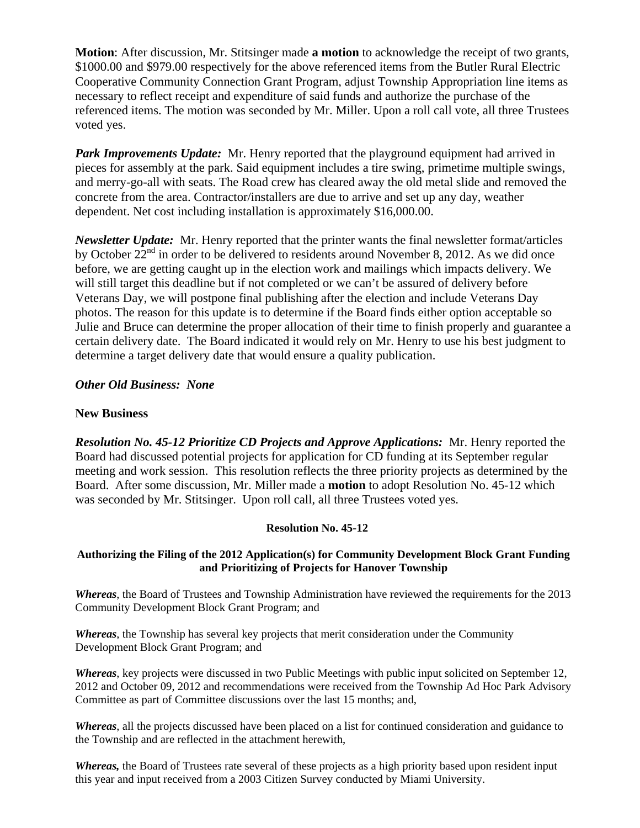**Motion**: After discussion, Mr. Stitsinger made **a motion** to acknowledge the receipt of two grants, \$1000.00 and \$979.00 respectively for the above referenced items from the Butler Rural Electric Cooperative Community Connection Grant Program, adjust Township Appropriation line items as necessary to reflect receipt and expenditure of said funds and authorize the purchase of the referenced items. The motion was seconded by Mr. Miller. Upon a roll call vote, all three Trustees voted yes.

Park Improvements Update: Mr. Henry reported that the playground equipment had arrived in pieces for assembly at the park. Said equipment includes a tire swing, primetime multiple swings, and merry-go-all with seats. The Road crew has cleared away the old metal slide and removed the concrete from the area. Contractor/installers are due to arrive and set up any day, weather dependent. Net cost including installation is approximately \$16,000.00.

*Newsletter Update:* Mr. Henry reported that the printer wants the final newsletter format/articles by October  $22<sup>nd</sup>$  in order to be delivered to residents around November 8, 2012. As we did once before, we are getting caught up in the election work and mailings which impacts delivery. We will still target this deadline but if not completed or we can't be assured of delivery before Veterans Day, we will postpone final publishing after the election and include Veterans Day photos. The reason for this update is to determine if the Board finds either option acceptable so Julie and Bruce can determine the proper allocation of their time to finish properly and guarantee a certain delivery date. The Board indicated it would rely on Mr. Henry to use his best judgment to determine a target delivery date that would ensure a quality publication.

## *Other Old Business: None*

#### **New Business**

*Resolution No. 45-12 Prioritize CD Projects and Approve Applications:* Mr. Henry reported the Board had discussed potential projects for application for CD funding at its September regular meeting and work session. This resolution reflects the three priority projects as determined by the Board. After some discussion, Mr. Miller made a **motion** to adopt Resolution No. 45-12 which was seconded by Mr. Stitsinger. Upon roll call, all three Trustees voted yes.

#### **Resolution No. 45-12**

#### **Authorizing the Filing of the 2012 Application(s) for Community Development Block Grant Funding and Prioritizing of Projects for Hanover Township**

*Whereas*, the Board of Trustees and Township Administration have reviewed the requirements for the 2013 Community Development Block Grant Program; and

*Whereas*, the Township has several key projects that merit consideration under the Community Development Block Grant Program; and

*Whereas*, key projects were discussed in two Public Meetings with public input solicited on September 12, 2012 and October 09, 2012 and recommendations were received from the Township Ad Hoc Park Advisory Committee as part of Committee discussions over the last 15 months; and,

*Whereas*, all the projects discussed have been placed on a list for continued consideration and guidance to the Township and are reflected in the attachment herewith,

*Whereas,* the Board of Trustees rate several of these projects as a high priority based upon resident input this year and input received from a 2003 Citizen Survey conducted by Miami University.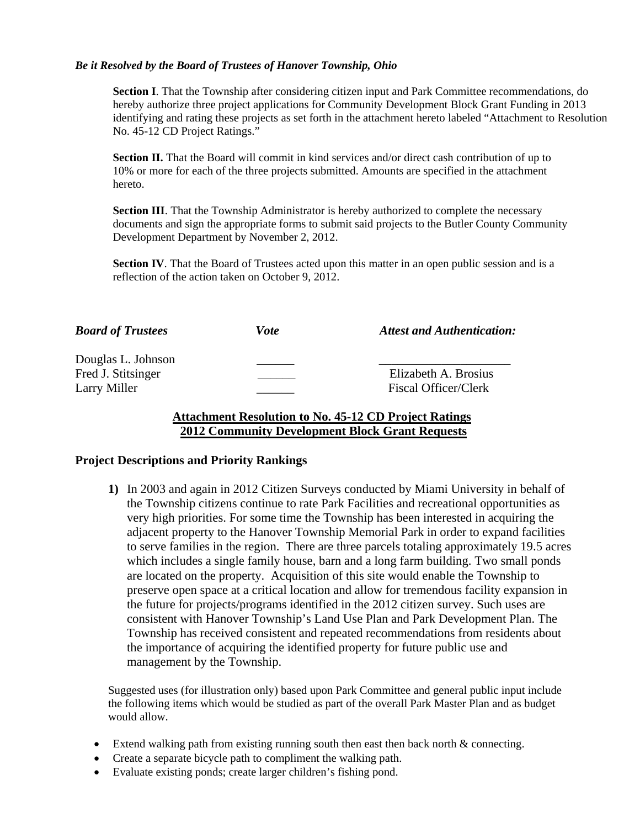#### *Be it Resolved by the Board of Trustees of Hanover Township, Ohio*

**Section I**. That the Township after considering citizen input and Park Committee recommendations, do hereby authorize three project applications for Community Development Block Grant Funding in 2013 identifying and rating these projects as set forth in the attachment hereto labeled "Attachment to Resolution No. 45-12 CD Project Ratings."

**Section II.** That the Board will commit in kind services and/or direct cash contribution of up to 10% or more for each of the three projects submitted. Amounts are specified in the attachment hereto.

**Section III**. That the Township Administrator is hereby authorized to complete the necessary documents and sign the appropriate forms to submit said projects to the Butler County Community Development Department by November 2, 2012.

**Section IV**. That the Board of Trustees acted upon this matter in an open public session and is a reflection of the action taken on October 9, 2012.

| <b>Board of Trustees</b>                 | Vote | <b>Attest and Authentication:</b> |
|------------------------------------------|------|-----------------------------------|
| Douglas L. Johnson<br>Fred J. Stitsinger |      | Elizabeth A. Brosius              |
| Larry Miller                             |      | Fiscal Officer/Clerk              |

## **Attachment Resolution to No. 45-12 CD Project Ratings 2012 Community Development Block Grant Requests**

#### **Project Descriptions and Priority Rankings**

**1)** In 2003 and again in 2012 Citizen Surveys conducted by Miami University in behalf of the Township citizens continue to rate Park Facilities and recreational opportunities as very high priorities. For some time the Township has been interested in acquiring the adjacent property to the Hanover Township Memorial Park in order to expand facilities to serve families in the region. There are three parcels totaling approximately 19.5 acres which includes a single family house, barn and a long farm building. Two small ponds are located on the property. Acquisition of this site would enable the Township to preserve open space at a critical location and allow for tremendous facility expansion in the future for projects/programs identified in the 2012 citizen survey. Such uses are consistent with Hanover Township's Land Use Plan and Park Development Plan. The Township has received consistent and repeated recommendations from residents about the importance of acquiring the identified property for future public use and management by the Township.

Suggested uses (for illustration only) based upon Park Committee and general public input include the following items which would be studied as part of the overall Park Master Plan and as budget would allow.

- Extend walking path from existing running south then east then back north  $&$  connecting.
- Create a separate bicycle path to compliment the walking path.
- Evaluate existing ponds; create larger children's fishing pond.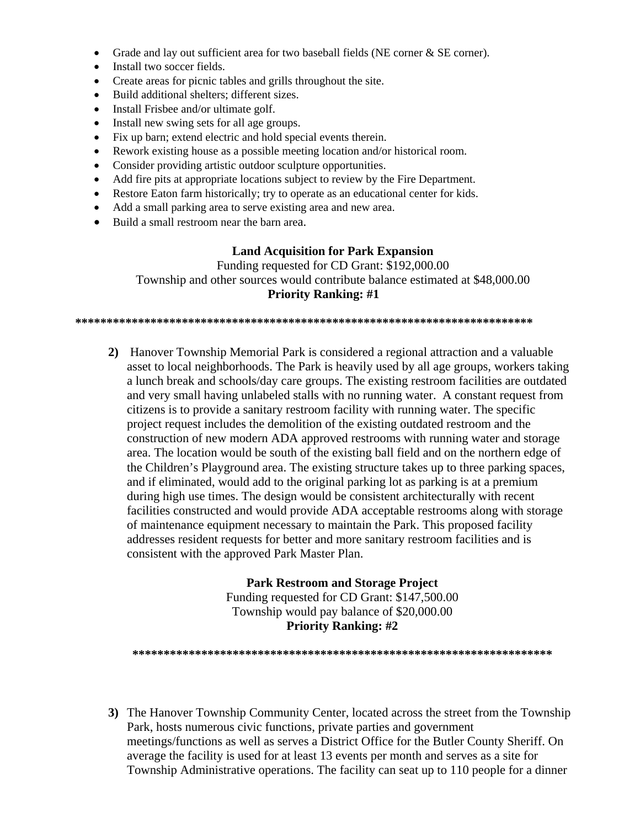- Grade and lay out sufficient area for two baseball fields (NE corner & SE corner).
- Install two soccer fields.
- Create areas for picnic tables and grills throughout the site.
- Build additional shelters; different sizes.
- Install Frisbee and/or ultimate golf.
- Install new swing sets for all age groups.
- Fix up barn; extend electric and hold special events therein.
- Rework existing house as a possible meeting location and/or historical room.
- Consider providing artistic outdoor sculpture opportunities.
- Add fire pits at appropriate locations subject to review by the Fire Department.
- Restore Eaton farm historically; try to operate as an educational center for kids.
- Add a small parking area to serve existing area and new area.
- Build a small restroom near the barn area.

## **Land Acquisition for Park Expansion**

Funding requested for CD Grant: \$192,000.00 Township and other sources would contribute balance estimated at \$48,000.00 **Priority Ranking: #1** 

**\*\*\*\*\*\*\*\*\*\*\*\*\*\*\*\*\*\*\*\*\*\*\*\*\*\*\*\*\*\*\*\*\*\*\*\*\*\*\*\*\*\*\*\*\*\*\*\*\*\*\*\*\*\*\*\*\*\*\*\*\*\*\*\*\*\*\*\*\*\*\*\*\*** 

**2)** Hanover Township Memorial Park is considered a regional attraction and a valuable asset to local neighborhoods. The Park is heavily used by all age groups, workers taking a lunch break and schools/day care groups. The existing restroom facilities are outdated and very small having unlabeled stalls with no running water. A constant request from citizens is to provide a sanitary restroom facility with running water. The specific project request includes the demolition of the existing outdated restroom and the construction of new modern ADA approved restrooms with running water and storage area. The location would be south of the existing ball field and on the northern edge of the Children's Playground area. The existing structure takes up to three parking spaces, and if eliminated, would add to the original parking lot as parking is at a premium during high use times. The design would be consistent architecturally with recent facilities constructed and would provide ADA acceptable restrooms along with storage of maintenance equipment necessary to maintain the Park. This proposed facility addresses resident requests for better and more sanitary restroom facilities and is consistent with the approved Park Master Plan.

# **Park Restroom and Storage Project**

Funding requested for CD Grant: \$147,500.00 Township would pay balance of \$20,000.00 **Priority Ranking: #2** 

**\*\*\*\*\*\*\*\*\*\*\*\*\*\*\*\*\*\*\*\*\*\*\*\*\*\*\*\*\*\*\*\*\*\*\*\*\*\*\*\*\*\*\*\*\*\*\*\*\*\*\*\*\*\*\*\*\*\*\*\*\*\*\*\*\*\*\*** 

**3)** The Hanover Township Community Center, located across the street from the Township Park, hosts numerous civic functions, private parties and government meetings/functions as well as serves a District Office for the Butler County Sheriff. On average the facility is used for at least 13 events per month and serves as a site for Township Administrative operations. The facility can seat up to 110 people for a dinner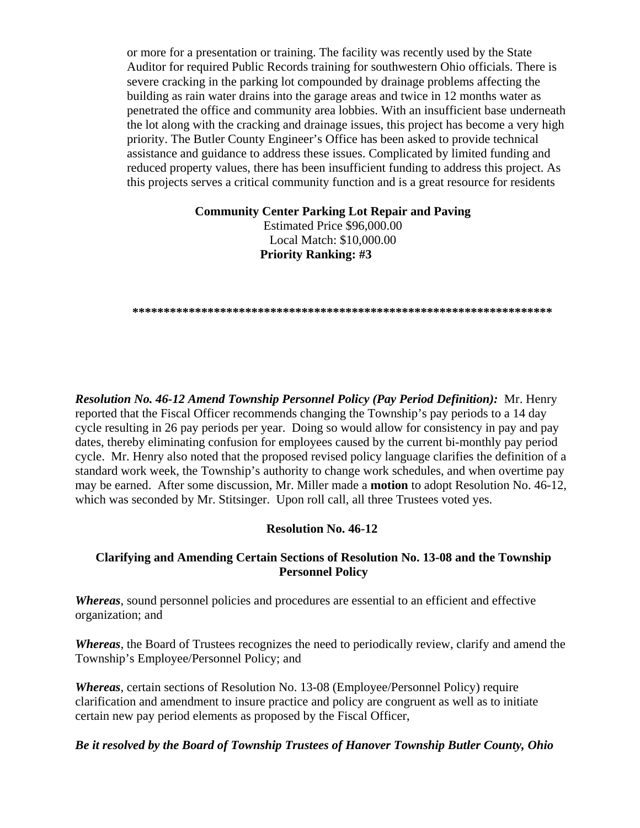or more for a presentation or training. The facility was recently used by the State Auditor for required Public Records training for southwestern Ohio officials. There is severe cracking in the parking lot compounded by drainage problems affecting the building as rain water drains into the garage areas and twice in 12 months water as penetrated the office and community area lobbies. With an insufficient base underneath the lot along with the cracking and drainage issues, this project has become a very high priority. The Butler County Engineer's Office has been asked to provide technical assistance and guidance to address these issues. Complicated by limited funding and reduced property values, there has been insufficient funding to address this project. As this projects serves a critical community function and is a great resource for residents

**Community Center Parking Lot Repair and Paving** 

Estimated Price \$96,000.00 Local Match: \$10,000.00 **Priority Ranking: #3** 

**\*\*\*\*\*\*\*\*\*\*\*\*\*\*\*\*\*\*\*\*\*\*\*\*\*\*\*\*\*\*\*\*\*\*\*\*\*\*\*\*\*\*\*\*\*\*\*\*\*\*\*\*\*\*\*\*\*\*\*\*\*\*\*\*\*\*\*** 

*Resolution No. 46-12 Amend Township Personnel Policy (Pay Period Definition):* Mr. Henry reported that the Fiscal Officer recommends changing the Township's pay periods to a 14 day cycle resulting in 26 pay periods per year. Doing so would allow for consistency in pay and pay dates, thereby eliminating confusion for employees caused by the current bi-monthly pay period cycle. Mr. Henry also noted that the proposed revised policy language clarifies the definition of a standard work week, the Township's authority to change work schedules, and when overtime pay may be earned. After some discussion, Mr. Miller made a **motion** to adopt Resolution No. 46-12, which was seconded by Mr. Stitsinger. Upon roll call, all three Trustees voted yes.

#### **Resolution No. 46-12**

## **Clarifying and Amending Certain Sections of Resolution No. 13-08 and the Township Personnel Policy**

*Whereas*, sound personnel policies and procedures are essential to an efficient and effective organization; and

*Whereas*, the Board of Trustees recognizes the need to periodically review, clarify and amend the Township's Employee/Personnel Policy; and

*Whereas*, certain sections of Resolution No. 13-08 (Employee/Personnel Policy) require clarification and amendment to insure practice and policy are congruent as well as to initiate certain new pay period elements as proposed by the Fiscal Officer,

#### *Be it resolved by the Board of Township Trustees of Hanover Township Butler County, Ohio*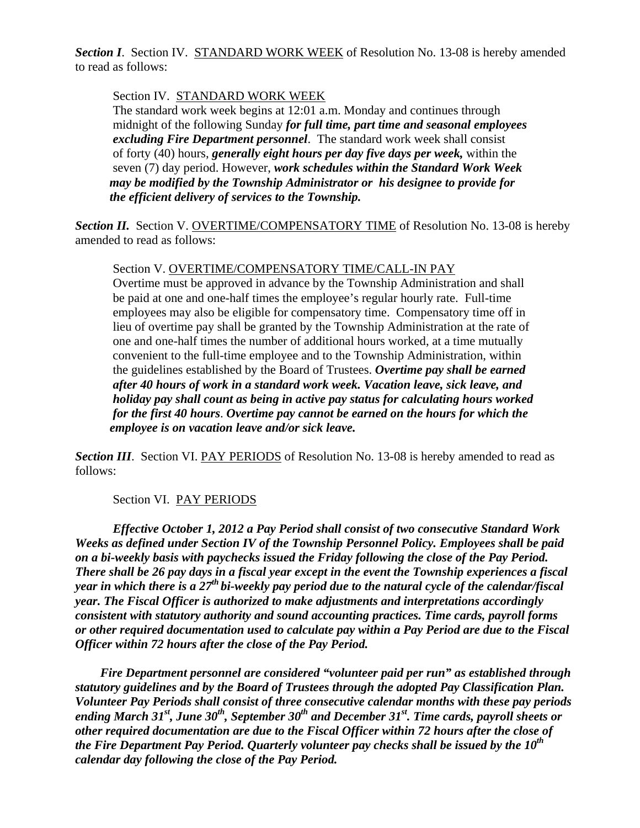**Section I.** Section IV. STANDARD WORK WEEK of Resolution No. 13-08 is hereby amended to read as follows:

## Section IV. STANDARD WORK WEEK

 The standard work week begins at 12:01 a.m. Monday and continues through midnight of the following Sunday *for full time, part time and seasonal employees excluding Fire Department personnel*. The standard work week shall consist of forty (40) hours, *generally eight hours per day five days per week,* within the seven (7) day period. However, *work schedules within the Standard Work Week may be modified by the Township Administrator or his designee to provide for the efficient delivery of services to the Township.*

**Section II.** Section V. OVERTIME/COMPENSATORY TIME of Resolution No. 13-08 is hereby amended to read as follows:

#### Section V. OVERTIME/COMPENSATORY TIME/CALL-IN PAY

 Overtime must be approved in advance by the Township Administration and shall be paid at one and one-half times the employee's regular hourly rate. Full-time employees may also be eligible for compensatory time. Compensatory time off in lieu of overtime pay shall be granted by the Township Administration at the rate of one and one-half times the number of additional hours worked, at a time mutually convenient to the full-time employee and to the Township Administration, within the guidelines established by the Board of Trustees. *Overtime pay shall be earned after 40 hours of work in a standard work week. Vacation leave, sick leave, and holiday pay shall count as being in active pay status for calculating hours worked for the first 40 hours*. *Overtime pay cannot be earned on the hours for which the employee is on vacation leave and/or sick leave.* 

*Section III.* Section VI. PAY PERIODS of Resolution No. 13-08 is hereby amended to read as follows:

# Section VI. PAY PERIODS

*Effective October 1, 2012 a Pay Period shall consist of two consecutive Standard Work Weeks as defined under Section IV of the Township Personnel Policy. Employees shall be paid on a bi-weekly basis with paychecks issued the Friday following the close of the Pay Period. There shall be 26 pay days in a fiscal year except in the event the Township experiences a fiscal year in which there is a 27th bi-weekly pay period due to the natural cycle of the calendar/fiscal year. The Fiscal Officer is authorized to make adjustments and interpretations accordingly consistent with statutory authority and sound accounting practices. Time cards, payroll forms or other required documentation used to calculate pay within a Pay Period are due to the Fiscal Officer within 72 hours after the close of the Pay Period.* 

 *Fire Department personnel are considered "volunteer paid per run" as established through statutory guidelines and by the Board of Trustees through the adopted Pay Classification Plan. Volunteer Pay Periods shall consist of three consecutive calendar months with these pay periods*  ending March 31<sup>st</sup>, June 30<sup>th</sup>, September 30<sup>th</sup> and December 31<sup>st</sup>. Time cards, payroll sheets or *other required documentation are due to the Fiscal Officer within 72 hours after the close of the Fire Department Pay Period. Quarterly volunteer pay checks shall be issued by the 10<sup>th</sup> calendar day following the close of the Pay Period.*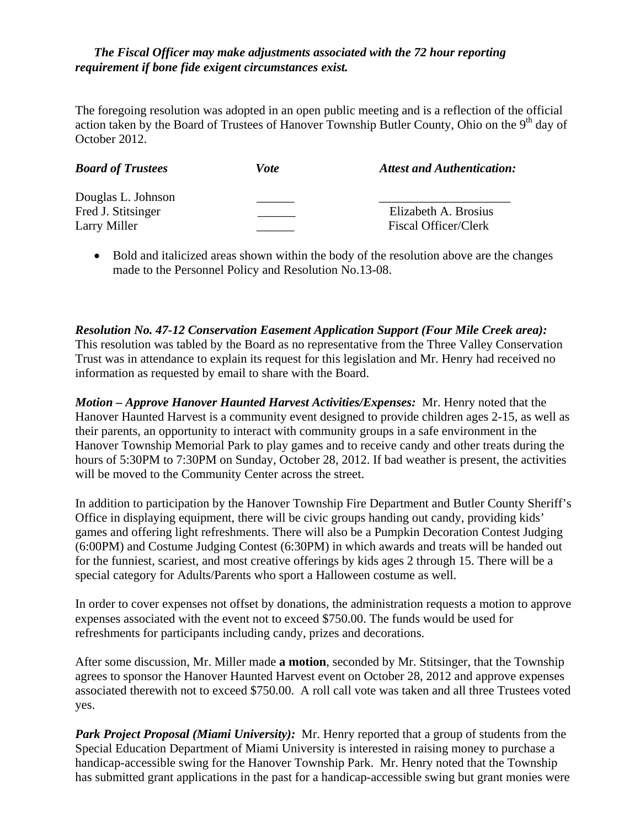## *The Fiscal Officer may make adjustments associated with the 72 hour reporting requirement if bone fide exigent circumstances exist.*

The foregoing resolution was adopted in an open public meeting and is a reflection of the official action taken by the Board of Trustees of Hanover Township Butler County, Ohio on the  $9<sup>th</sup>$  day of October 2012.

| <b>Board of Trustees</b>           | Vote | <b>Attest and Authentication:</b>            |
|------------------------------------|------|----------------------------------------------|
| Douglas L. Johnson                 |      |                                              |
| Fred J. Stitsinger<br>Larry Miller |      | Elizabeth A. Brosius<br>Fiscal Officer/Clerk |
|                                    |      |                                              |

 Bold and italicized areas shown within the body of the resolution above are the changes made to the Personnel Policy and Resolution No.13-08.

*Resolution No. 47-12 Conservation Easement Application Support (Four Mile Creek area):* 

This resolution was tabled by the Board as no representative from the Three Valley Conservation Trust was in attendance to explain its request for this legislation and Mr. Henry had received no information as requested by email to share with the Board.

*Motion – Approve Hanover Haunted Harvest Activities/Expenses:* Mr. Henry noted that the Hanover Haunted Harvest is a community event designed to provide children ages 2-15, as well as their parents, an opportunity to interact with community groups in a safe environment in the Hanover Township Memorial Park to play games and to receive candy and other treats during the hours of 5:30PM to 7:30PM on Sunday, October 28, 2012. If bad weather is present, the activities will be moved to the Community Center across the street.

In addition to participation by the Hanover Township Fire Department and Butler County Sheriff's Office in displaying equipment, there will be civic groups handing out candy, providing kids' games and offering light refreshments. There will also be a Pumpkin Decoration Contest Judging (6:00PM) and Costume Judging Contest (6:30PM) in which awards and treats will be handed out for the funniest, scariest, and most creative offerings by kids ages 2 through 15. There will be a special category for Adults/Parents who sport a Halloween costume as well.

In order to cover expenses not offset by donations, the administration requests a motion to approve expenses associated with the event not to exceed \$750.00. The funds would be used for refreshments for participants including candy, prizes and decorations.

After some discussion, Mr. Miller made **a motion**, seconded by Mr. Stitsinger, that the Township agrees to sponsor the Hanover Haunted Harvest event on October 28, 2012 and approve expenses associated therewith not to exceed \$750.00. A roll call vote was taken and all three Trustees voted yes.

*Park Project Proposal (Miami University):* Mr. Henry reported that a group of students from the Special Education Department of Miami University is interested in raising money to purchase a handicap-accessible swing for the Hanover Township Park. Mr. Henry noted that the Township has submitted grant applications in the past for a handicap-accessible swing but grant monies were